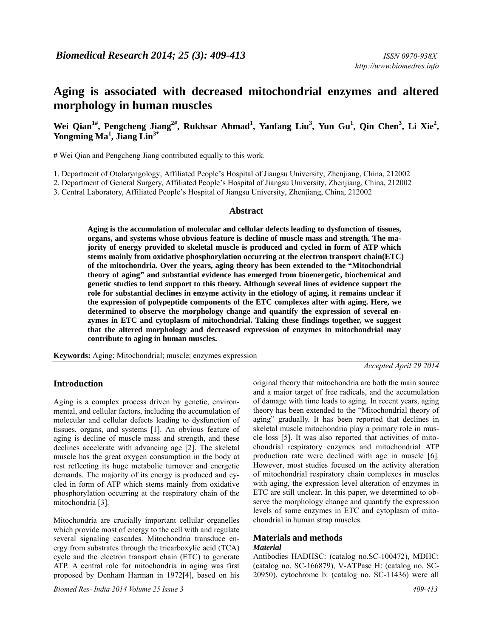# **Aging is associated with decreased mitochondrial enzymes and altered morphology in human muscles**

Wei Qian<sup>1#</sup>, Pengcheng Jiang<sup>2#</sup>, Rukhsar Ahmad<sup>1</sup>, Yanfang Liu<sup>3</sup>, Yun Gu<sup>1</sup>, Qin Chen<sup>3</sup>, Li Xie<sup>2</sup>, **Yongming Ma1 , Jiang Lin3\*** 

**#** Wei Qian and Pengcheng Jiang contributed equally to this work.

1. Department of Otolaryngology, Affiliated People's Hospital of Jiangsu University, Zhenjiang, China, 212002

2. Department of General Surgery, Affiliated People's Hospital of Jiangsu University, Zhenjiang, China, 212002

3. Central Laboratory, Affiliated People's Hospital of Jiangsu University, Zhenjiang, China, 212002

#### **Abstract**

**Aging is the accumulation of molecular and cellular defects leading to dysfunction of tissues, organs, and systems whose obvious feature is decline of muscle mass and strength. The majority of energy provided to skeletal muscle is produced and cycled in form of ATP which stems mainly from oxidative phosphorylation occurring at the electron transport chain(ETC) of the mitochondria. Over the years, aging theory has been extended to the "Mitochondrial theory of aging" and substantial evidence has emerged from bioenergetic, biochemical and genetic studies to lend support to this theory. Although several lines of evidence support the role for substantial declines in enzyme activity in the etiology of aging, it remains unclear if the expression of polypeptide components of the ETC complexes alter with aging. Here, we determined to observe the morphology change and quantify the expression of several enzymes in ETC and cytoplasm of mitochondrial. Taking these findings together, we suggest that the altered morphology and decreased expression of enzymes in mitochondrial may contribute to aging in human muscles.** 

**Keywords:** Aging; Mitochondrial; muscle; enzymes expression

*Accepted April 29 2014* 

### **Introduction**

Aging is a complex process driven by genetic, environmental, and cellular factors, including the accumulation of molecular and cellular defects leading to dysfunction of tissues, organs, and systems [1]. An obvious feature of aging is decline of muscle mass and strength, and these declines accelerate with advancing age [2]. The skeletal muscle has the great oxygen consumption in the body at rest reflecting its huge metabolic turnover and energetic demands. The majority of its energy is produced and cycled in form of ATP which stems mainly from oxidative phosphorylation occurring at the respiratory chain of the mitochondria [3].

Mitochondria are crucially important cellular organelles which provide most of energy to the cell with and regulate several signaling cascades. Mitochondria transduce energy from substrates through the tricarboxylic acid (TCA) cycle and the electron transport chain (ETC) to generate ATP. A central role for mitochondria in aging was first proposed by Denham Harman in 1972[4], based on his

original theory that mitochondria are both the main source and a major target of free radicals, and the accumulation of damage with time leads to aging. In recent years, aging theory has been extended to the "Mitochondrial theory of aging" gradually. It has been reported that declines in skeletal muscle mitochondria play a primary role in muscle loss [5]. It was also reported that activities of mitochondrial respiratory enzymes and mitochondrial ATP production rate were declined with age in muscle [6]. However, most studies focused on the activity alteration of mitochondrial respiratory chain complexes in muscles with aging, the expression level alteration of enzymes in ETC are still unclear. In this paper, we determined to observe the morphology change and quantify the expression levels of some enzymes in ETC and cytoplasm of mitochondrial in human strap muscles.

#### **Materials and methods**  *Material*

Antibodies HADHSC: (catalog no.SC-100472), MDHC: (catalog no. SC-166879), V-ATPase H: (catalog no. SC-20950), cytochrome b: (catalog no. SC-11436) were all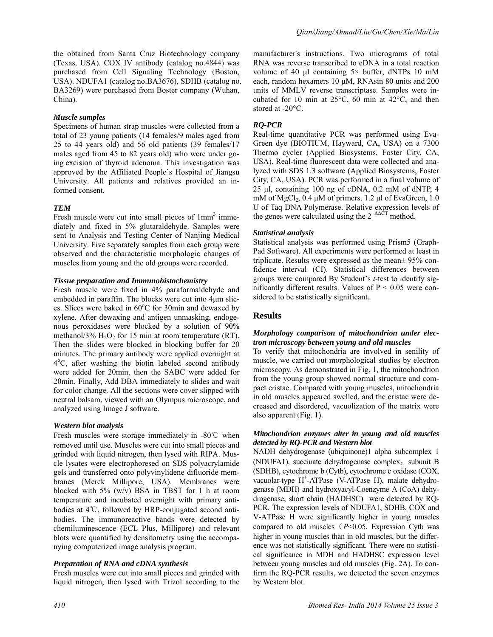the obtained from Santa Cruz Biotechnology company (Texas, USA). COX IV antibody (catalog no.4844) was purchased from Cell Signaling Technology (Boston, USA). NDUFA1 (catalog no.BA3676), SDHB (catalog no. BA3269) were purchased from Boster company (Wuhan, China).

### *Muscle samples*

Specimens of human strap muscles were collected from a total of 23 young patients (14 females/9 males aged from 25 to 44 years old) and 56 old patients (39 females/17 males aged from 45 to 82 years old) who were under going excision of thyroid adenoma. This investigation was approved by the Affiliated People's Hospital of Jiangsu University. All patients and relatives provided an informed consent.

# *TEM*

Fresh muscle were cut into small pieces of  $1mm<sup>3</sup>$  immediately and fixed in 5% glutaraldehyde. Samples were sent to Analysis and Testing Center of Nanjing Medical University. Five separately samples from each group were observed and the characteristic morphologic changes of muscles from young and the old groups were recorded.

#### *Tissue preparation and Immunohistochemistry*

Fresh muscle were fixed in 4% paraformaldehyde and embedded in paraffin. The blocks were cut into 4μm slices. Slices were baked in  $60^{\circ}$ C for 30min and dewaxed by xylene. After dewaxing and antigen unmasking, endogenous peroxidases were blocked by a solution of 90% methanol/3%  $H_2O_2$  for 15 min at room temperature (RT). Then the slides were blocked in blocking buffer for 20 minutes. The primary antibody were applied overnight at 4o C, after washing the biotin labeled second antibody were added for 20min, then the SABC were added for 20min. Finally, Add DBA immediately to slides and wait for color change. All the sections were cover slipped with neutral balsam, viewed with an Olympus microscope, and analyzed using Image J software.

### *Western blot analysis*

Fresh muscles were storage immediately in -80℃ when removed until use. Muscles were cut into small pieces and grinded with liquid nitrogen, then lysed with RIPA. Muscle lysates were electrophoresed on SDS polyacrylamide gels and transferred onto polyvinylidene difluoride membranes (Merck Millipore, USA). Membranes were blocked with  $5\%$  (w/v) BSA in TBST for 1 h at room temperature and incubated overnight with primary antibodies at 4℃, followed by HRP-conjugated second antibodies. The immunoreactive bands were detected by chemiluminescence (ECL Plus, Millipore) and relevant blots were quantified by densitometry using the accompanying computerized image analysis program.

### *Preparation of RNA and cDNA synthesis*

Fresh muscles were cut into small pieces and grinded with liquid nitrogen, then lysed with Trizol according to the manufacturer's instructions. Two micrograms of total RNA was reverse transcribed to cDNA in a total reaction volume of 40 μl containing  $5 \times$  buffer, dNTPs 10 mM each, random hexamers 10 μM, RNAsin 80 units and 200 units of MMLV reverse transcriptase. Samples were incubated for 10 min at 25°C, 60 min at 42°C, and then stored at -20°C.

# *RQ-PCR*

Real-time quantitative PCR was performed using Eva-Green dye (BIOTIUM, Hayward, CA, USA) on a 7300 Thermo cycler (Applied Biosystems, Foster City, CA, USA). Real-time fluorescent data were collected and analyzed with SDS 1.3 software (Applied Biosystems, Foster City, CA, USA). PCR was performed in a final volume of 25 μl, containing 100 ng of cDNA, 0.2 mM of dNTP, 4 mM of MgCl<sub>2</sub>, 0.4 μM of primers, 1.2 μl of EvaGreen, 1.0 U of Taq DNA Polymerase. Relative expression levels of the genes were calculated using the  $2^{-\Delta\Delta}$  method.

### *Statistical analysis*

Statistical analysis was performed using Prism5 (Graph-Pad Software). All experiments were performed at least in triplicate. Results were expressed as the mean± 95% confidence interval (CI). Statistical differences between groups were compared By Student's *t*-test to identify significantly different results. Values of  $P < 0.05$  were considered to be statistically significant.

# **Results**

# *Morphology comparison of mitochondrion under electron microscopy between young and old muscles*

To verify that mitochondria are involved in senility of muscle, we carried out morphological studies by electron microscopy. As demonstrated in Fig. 1, the mitochondrion from the young group showed normal structure and compact cristae. Compared with young muscles, mitochondria in old muscles appeared swelled, and the cristae were decreased and disordered, vacuolization of the matrix were also apparent (Fig. 1).

#### *Mitochondrion enzymes alter in young and old muscles detected by RQ-PCR and Western blot*

NADH dehydrogenase (ubiquinone)1 alpha subcomplex 1 (NDUFA1), succinate dehydrogenase complex, subunit B (SDHB), cytochrome b (Cytb), cytochrome c oxidase (COX, vacuolar-type H<sup>+</sup>-ATPase (V-ATPase H), malate dehydrogenase (MDH) and hydroxyacyl-Coenzyme A (CoA) dehydrogenase, short chain (HADHSC) were detected by RQ-PCR. The expression levels of NDUFA1, SDHB, COX and V-ATPase H were significantly higher in young muscles compared to old muscles ( $P$ <0.05. Expression Cytb was higher in young muscles than in old muscles, but the difference was not statistically significant. There were no statistical significance in MDH and HADHSC expression level between young muscles and old muscles (Fig. 2A). To confirm the RQ-PCR results, we detected the seven enzymes by Western blot.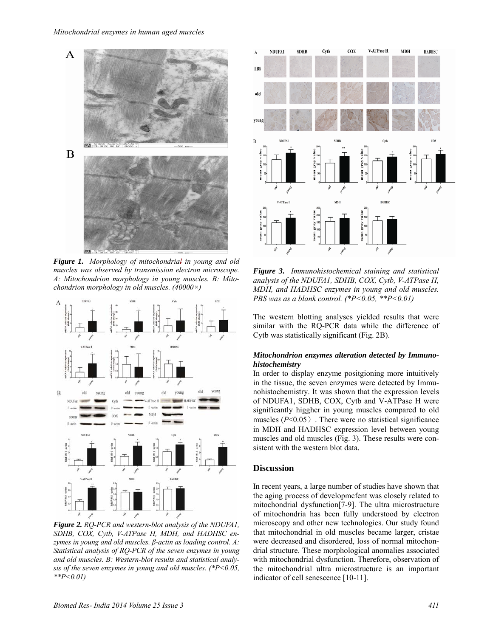#### *Mitochondrial enzymes in human aged muscles*



*Figure 1. Morphology of mitochondrial in young and old muscles was observed by transmission electron microscope. A: Mitochondrion morphology in young muscles. B: Mitochondrion morphology in old muscles. (40000×)* 



*Figure 2. RQ-PCR and western-blot analysis of the NDUFA1, SDHB, COX, Cytb, V-ATPase H, MDH, and HADHSC enzymes in young and old muscles. β-actin as loading control. A: Statistical analysis of RQ-PCR of the seven enzymes in young and old muscles. B: Western-blot results and statistical analysis of the seven enzymes in young and old muscles. (\*P<0.05, \*\*P<0.01)* 



*Figure 3. Immunohistochemical staining and statistical analysis of the NDUFA1, SDHB, COX, Cytb, V-ATPase H, MDH, and HADHSC enzymes in young and old muscles. PBS was as a blank control. (\*P<0.05, \*\*P<0.01)* 

The western blotting analyses yielded results that were similar with the RQ-PCR data while the difference of Cytb was statistically significant (Fig. 2B).

#### *Mitochondrion enzymes alteration detected by Immunohistochemistry*

In order to display enzyme positgioning more intuitively in the tissue, the seven enzymes were detected by Immunohistochemistry. It was shown that the expression levels of NDUFA1, SDHB, COX, Cytb and V-ATPase H were significantly higgher in young muscles compared to old muscles  $(P<0.05)$ . There were no statistical significance in MDH and HADHSC expression level between young muscles and old muscles (Fig. 3). These results were consistent with the western blot data.

#### **Discussion**

In recent years, a large number of studies have shown that the aging process of developmcfent was closely related to mitochondrial dysfunction[7-9]. The ultra microstructure of mitochondria has been fully understood by electron microscopy and other new technologies. Our study found that mitochondrial in old muscles became larger, cristae were decreased and disordered, loss of normal mitochondrial structure. These morphological anomalies associated with mitochondrial dysfunction. Therefore, observation of the mitochondrial ultra microstructure is an important indicator of cell senescence [10-11].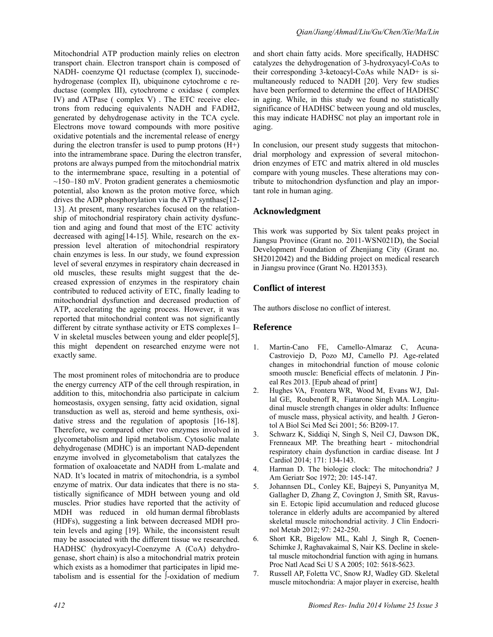Mitochondrial ATP production mainly relies on electron transport chain. Electron transport chain is composed of NADH- coenzyme Q1 reductase (complex I), succinodehydrogenase (complex II), ubiquinone cytochrome c reductase (complex III), cytochrome c oxidase ( complex IV) and ATPase ( complex V) . The ETC receive electrons from reducing equivalents NADH and FADH2, generated by dehydrogenase activity in the TCA cycle. Electrons move toward compounds with more positive oxidative potentials and the incremental release of energy during the electron transfer is used to pump protons (H+) into the intramembrane space. During the electron transfer, protons are always pumped from the mitochondrial matrix to the intermembrane space, resulting in a potential of  $\sim$ 150–180 mV. Proton gradient generates a chemiosmotic potential, also known as the proton motive force, which drives the ADP phosphorylation via the ATP synthase[12- 13]. At present, many researches focused on the relationship of mitochondrial respiratory chain activity dysfunction and aging and found that most of the ETC activity decreased with aging[14-15]. While, research on the expression level alteration of mitochondrial respiratory chain enzymes is less. In our study, we found expression level of several enzymes in respiratory chain decreased in old muscles, these results might suggest that the decreased expression of enzymes in the respiratory chain contributed to reduced activity of ETC, finally leading to mitochondrial dysfunction and decreased production of ATP, accelerating the ageing process. However, it was reported that mitochondrial content was not significantly different by citrate synthase activity or ETS complexes I– V in skeletal muscles between young and elder people[5], this might dependent on researched enzyme were not exactly same.

The most prominent roles of mitochondria are to produce the energy currency ATP of the cell through respiration, in addition to this, mitochondria also participate in calcium homeostasis, oxygen sensing, fatty acid oxidation, signal transduction as well as, steroid and heme synthesis, oxidative stress and the regulation of apoptosis [16-18]. Therefore, we compared other two enzymes involved in glycometabolism and lipid metabolism. Cytosolic malate dehydrogenase (MDHC) is an important NAD-dependent enzyme involved in glycometabolism that catalyzes the formation of oxaloacetate and NADH from L-malate and NAD. It's located in matrix of mitochondria, is a symbol enzyme of matrix. Our data indicates that there is no statistically significance of MDH between young and old muscles. Prior studies have reported that the activity of MDH was reduced in old human dermal fibroblasts (HDFs), suggesting a link between decreased MDH protein levels and aging [19]. While, the inconsistent result may be associated with the different tissue we researched. HADHSC (hydroxyacyl-Coenzyme A (CoA) dehydrogenase, short chain) is also a mitochondrial matrix protein which exists as a homodimer that participates in lipid metabolism and is essential for the ∫-oxidation of medium

and short chain fatty acids. More specifically, HADHSC catalyzes the dehydrogenation of 3-hydroxyacyl-CoAs to their corresponding 3-ketoacyl-CoAs while NAD+ is simultaneously reduced to NADH [20]. Very few studies have been performed to determine the effect of HADHSC in aging. While, in this study we found no statistically significance of HADHSC between young and old muscles, this may indicate HADHSC not play an important role in aging.

In conclusion, our present study suggests that mitochondrial morphology and expression of several mitochondrion enzymes of ETC and matrix altered in old muscles compare with young muscles. These alterations may contribute to mitochondrion dysfunction and play an important role in human aging.

# **Acknowledgment**

This work was supported by Six talent peaks project in Jiangsu Province (Grant no. 2011-WSN021D), the Social Development Foundation of Zhenjiang City (Grant no. SH2012042) and the Bidding project on medical research in Jiangsu province (Grant No. H201353).

# **Conflict of interest**

The authors disclose no conflict of interest.

# **Reference**

- 1. Martin-Cano FE, Camello-Almaraz C, Acuna-Castroviejo D, Pozo MJ, Camello PJ. Age-related changes in mitochondrial function of mouse colonic smooth muscle: Beneficial effects of melatonin*.* J Pineal Res 2013. [Epub ahead of print]
- 2. Hughes VA, Frontera WR, Wood M, Evans WJ, Dallal GE, Roubenoff R, Fiatarone Singh MA. Longitudinal muscle strength changes in older adults: Influence of muscle mass, physical activity, and health*.* J Gerontol A Biol Sci Med Sci 2001; 56: B209-17.
- 3. Schwarz K, Siddiqi N, Singh S, Neil CJ, Dawson DK, Frenneaux MP. The breathing heart - mitochondrial respiratory chain dysfunction in cardiac disease*.* Int J Cardiol 2014; 171: 134-143.
- 4. Harman D. The biologic clock: The mitochondria? J Am Geriatr Soc 1972; 20: 145-147.
- 5. Johannsen DL, Conley KE, Bajpeyi S, Punyanitya M, Gallagher D, Zhang Z, Covington J, Smith SR, Ravussin E. Ectopic lipid accumulation and reduced glucose tolerance in elderly adults are accompanied by altered skeletal muscle mitochondrial activity*.* J Clin Endocrinol Metab 2012; 97: 242-250.
- 6. Short KR, Bigelow ML, Kahl J, Singh R, Coenen-Schimke J, Raghavakaimal S, Nair KS. Decline in skeletal muscle mitochondrial function with aging in humans*.* Proc Natl Acad Sci U S A 2005; 102: 5618-5623.
- 7. Russell AP, Foletta VC, Snow RJ, Wadley GD. Skeletal muscle mitochondria: A major player in exercise, health